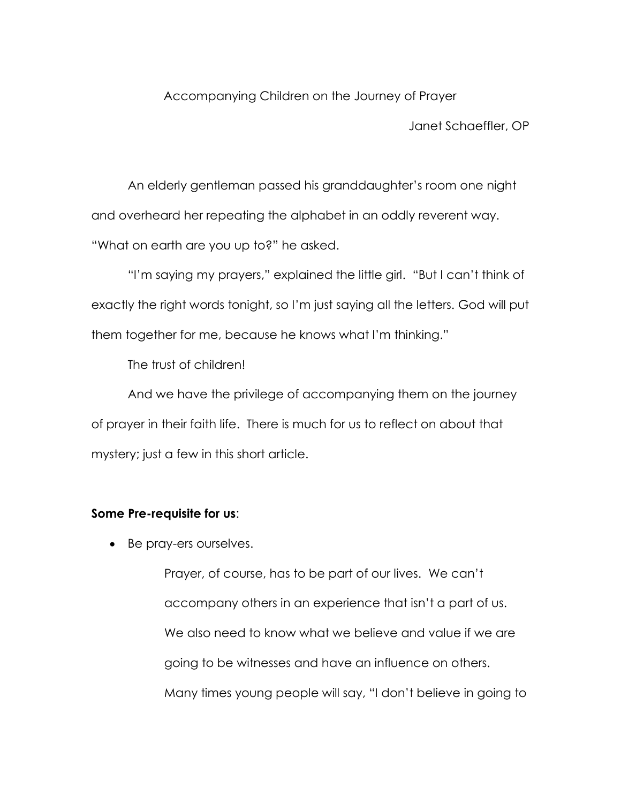Accompanying Children on the Journey of Prayer

Janet Schaeffler, OP

An elderly gentleman passed his granddaughter's room one night and overheard her repeating the alphabet in an oddly reverent way. "What on earth are you up to?" he asked.

"I'm saying my prayers," explained the little girl. "But I can't think of exactly the right words tonight, so I'm just saying all the letters. God will put them together for me, because he knows what I'm thinking."

The trust of children!

And we have the privilege of accompanying them on the journey of prayer in their faith life. There is much for us to reflect on about that mystery; just a few in this short article.

## **Some Pre-requisite for us**:

• Be pray-ers ourselves.

Prayer, of course, has to be part of our lives. We can't accompany others in an experience that isn't a part of us. We also need to know what we believe and value if we are going to be witnesses and have an influence on others. Many times young people will say, "I don't believe in going to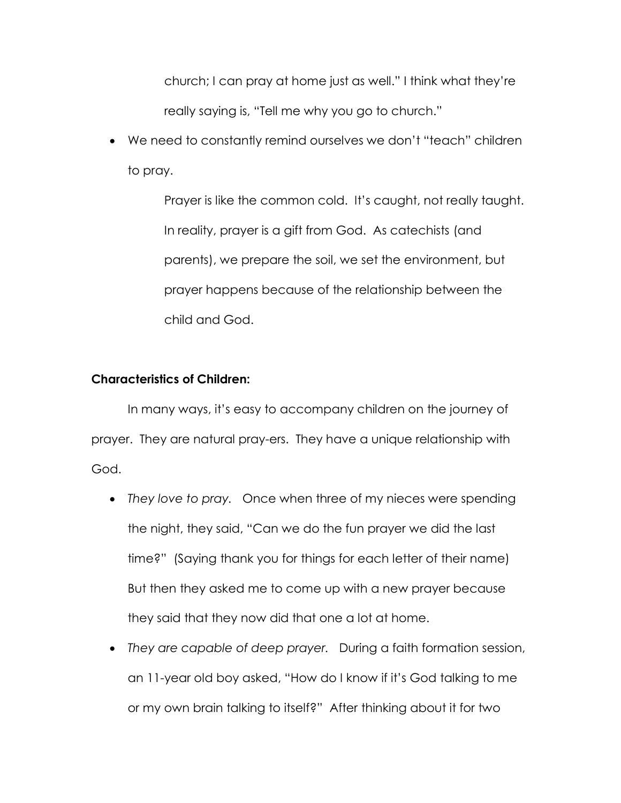church; I can pray at home just as well." I think what they're really saying is, "Tell me why you go to church."

 We need to constantly remind ourselves we don't "teach" children to pray.

> Prayer is like the common cold. It's caught, not really taught. In reality, prayer is a gift from God. As catechists (and parents), we prepare the soil, we set the environment, but prayer happens because of the relationship between the child and God.

## **Characteristics of Children:**

In many ways, it's easy to accompany children on the journey of prayer. They are natural pray-ers. They have a unique relationship with God.

- *They love to pray.* Once when three of my nieces were spending the night, they said, "Can we do the fun prayer we did the last time?" (Saying thank you for things for each letter of their name) But then they asked me to come up with a new prayer because they said that they now did that one a lot at home.
- *They are capable of deep prayer.* During a faith formation session, an 11-year old boy asked, "How do I know if it's God talking to me or my own brain talking to itself?" After thinking about it for two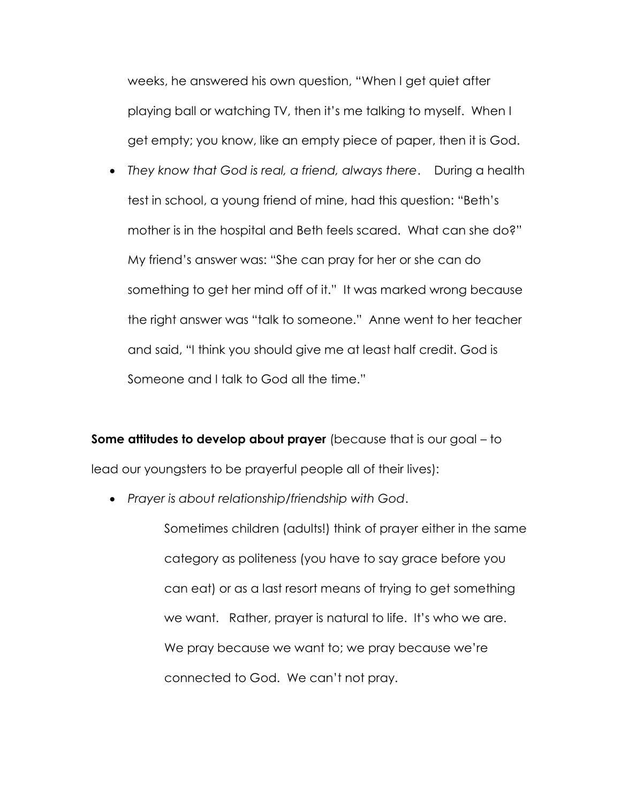weeks, he answered his own question, "When I get quiet after playing ball or watching TV, then it's me talking to myself. When I get empty; you know, like an empty piece of paper, then it is God.

 *They know that God is real, a friend, always there*. During a health test in school, a young friend of mine, had this question: "Beth's mother is in the hospital and Beth feels scared. What can she do?" My friend's answer was: "She can pray for her or she can do something to get her mind off of it." It was marked wrong because the right answer was "talk to someone." Anne went to her teacher and said, "I think you should give me at least half credit. God is Someone and I talk to God all the time."

**Some attitudes to develop about prayer** (because that is our goal – to lead our youngsters to be prayerful people all of their lives):

*Prayer is about relationship/friendship with God*.

Sometimes children (adults!) think of prayer either in the same category as politeness (you have to say grace before you can eat) or as a last resort means of trying to get something we want. Rather, prayer is natural to life. It's who we are. We pray because we want to; we pray because we're connected to God. We can't not pray.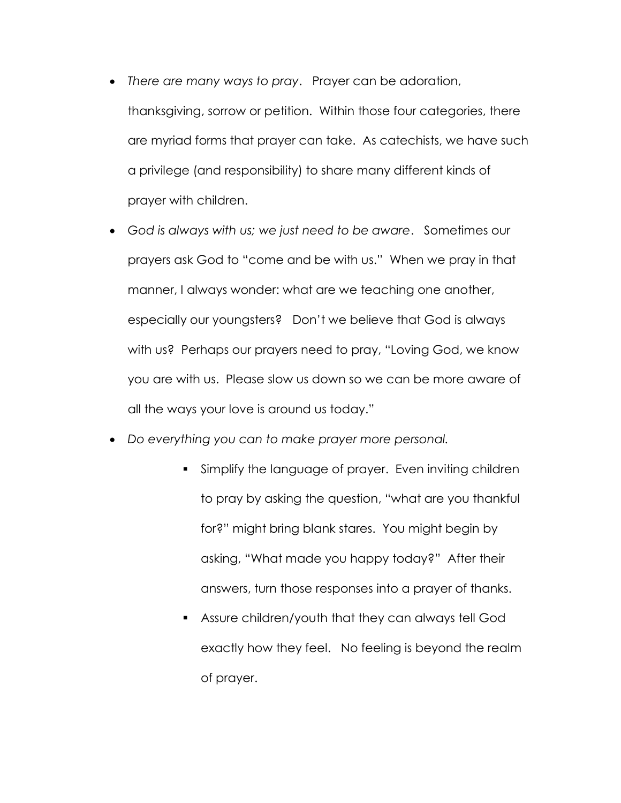- *There are many ways to pray*. Prayer can be adoration, thanksgiving, sorrow or petition. Within those four categories, there are myriad forms that prayer can take. As catechists, we have such a privilege (and responsibility) to share many different kinds of prayer with children.
- *God is always with us; we just need to be aware*. Sometimes our prayers ask God to "come and be with us." When we pray in that manner, I always wonder: what are we teaching one another, especially our youngsters? Don't we believe that God is always with us? Perhaps our prayers need to pray, "Loving God, we know you are with us. Please slow us down so we can be more aware of all the ways your love is around us today."
- *Do everything you can to make prayer more personal.* 
	- Simplify the language of prayer. Even inviting children to pray by asking the question, "what are you thankful for?" might bring blank stares. You might begin by asking, "What made you happy today?" After their answers, turn those responses into a prayer of thanks.
	- Assure children/youth that they can always tell God exactly how they feel. No feeling is beyond the realm of prayer.